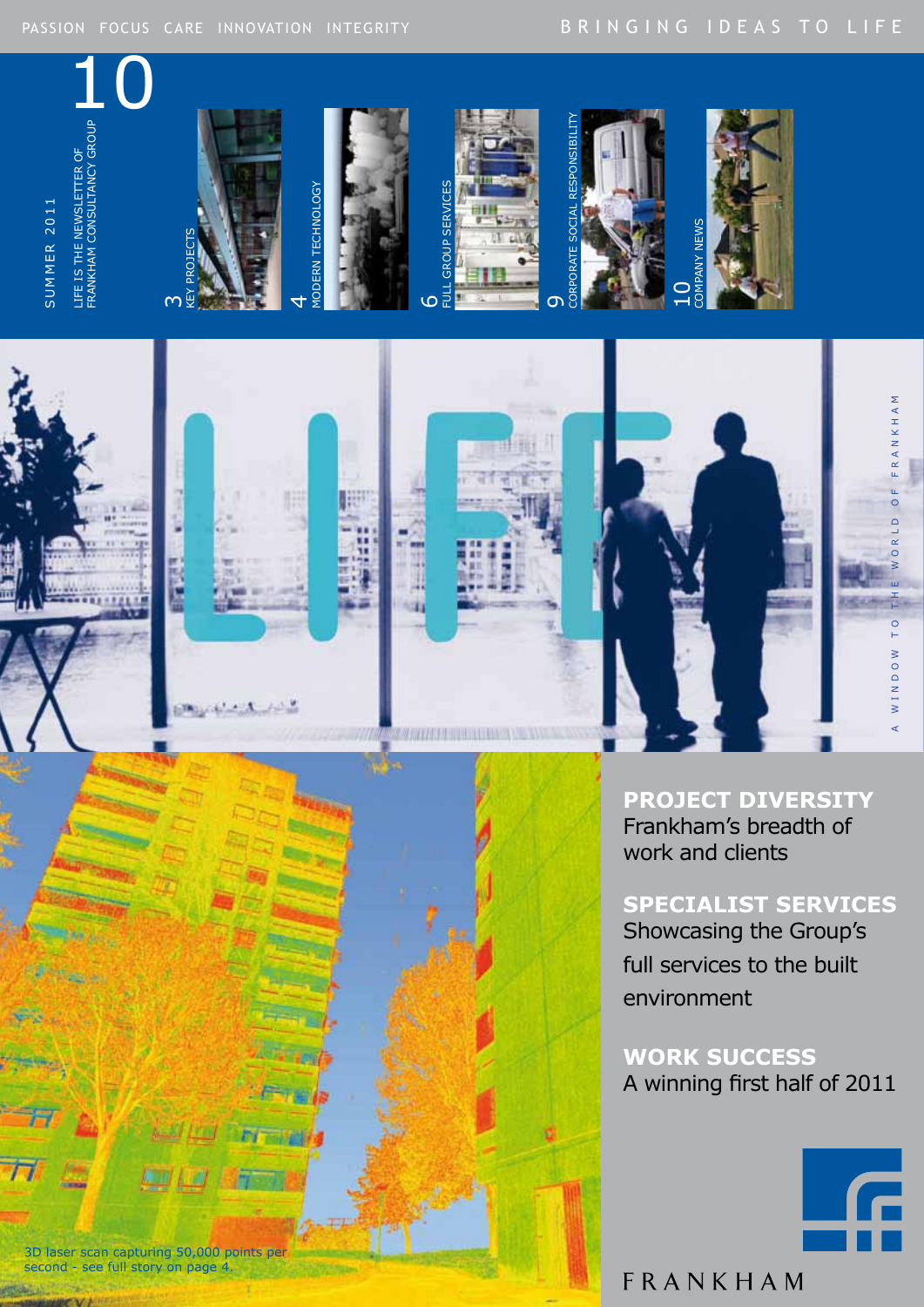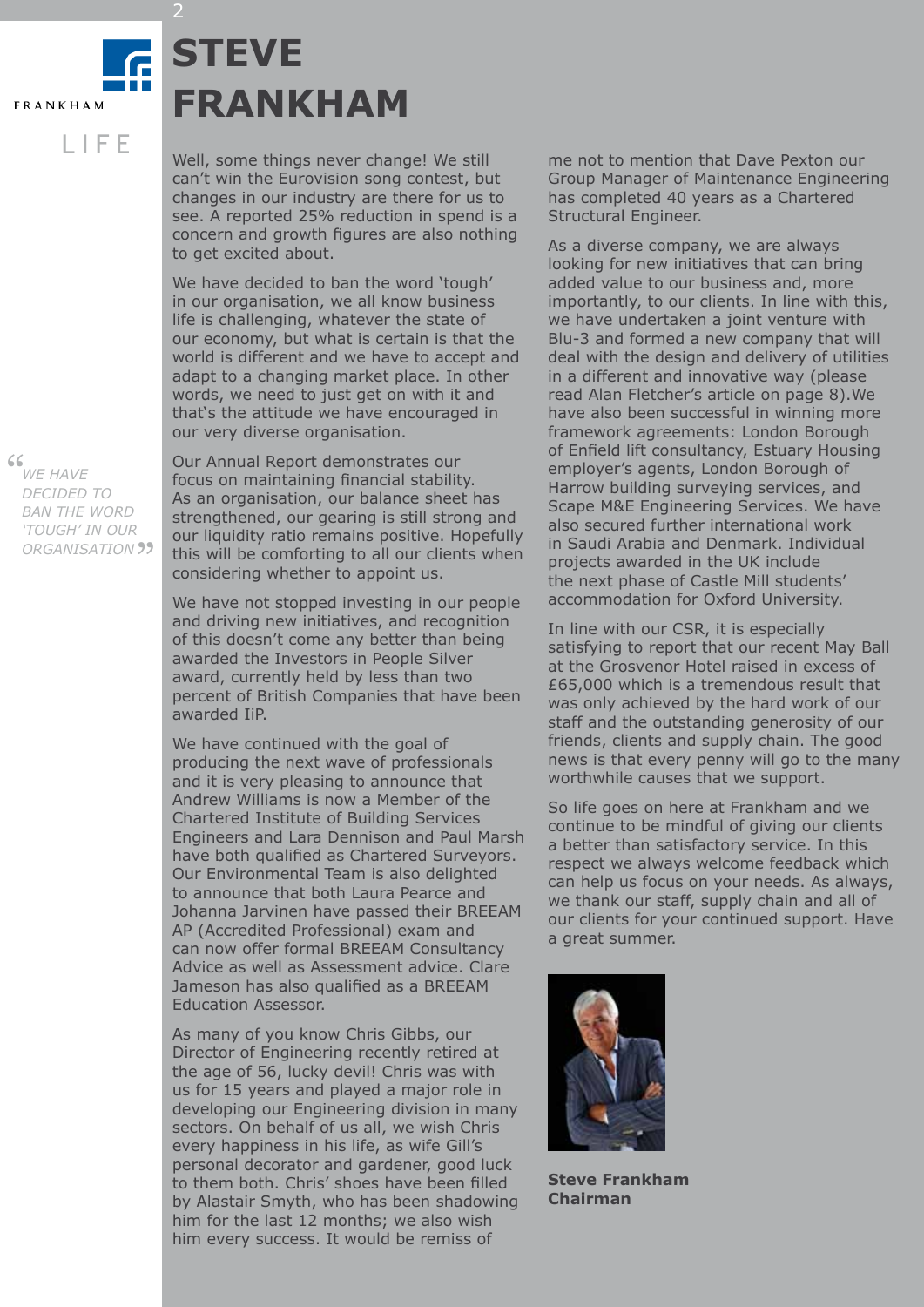## S U M M E R 2 **STEVE FRANKHAM**

Well, some things never change! We still can't win the Eurovision song contest, but changes in our industry are there for us to see. A reported 25% reduction in spend is a concern and growth figures are also nothing to get excited about.

We have decided to ban the word 'tough' in our organisation, we all know business life is challenging, whatever the state of our economy, but what is certain is that the world is different and we have to accept and adapt to a changing market place. In other words, we need to just get on with it and that's the attitude we have encouraged in our very diverse organisation.

Our Annual Report demonstrates our focus on maintaining financial stability. As an organisation, our balance sheet has strengthened, our gearing is still strong and our liquidity ratio remains positive. Hopefully this will be comforting to all our clients when considering whether to appoint us.

We have not stopped investing in our people and driving new initiatives, and recognition of this doesn't come any better than being awarded the Investors in People Silver award, currently held by less than two percent of British Companies that have been awarded IiP.

We have continued with the goal of producing the next wave of professionals and it is very pleasing to announce that Andrew Williams is now a Member of the Chartered Institute of Building Services Engineers and Lara Dennison and Paul Marsh have both qualified as Chartered Surveyors. Our Environmental Team is also delighted to announce that both Laura Pearce and Johanna Jarvinen have passed their BREEAM AP (Accredited Professional) exam and can now offer formal BREEAM Consultancy Advice as well as Assessment advice. Clare Jameson has also qualified as a BREEAM Education Assessor.

As many of you know Chris Gibbs, our Director of Engineering recently retired at the age of 56, lucky devil! Chris was with us for 15 years and played a major role in developing our Engineering division in many sectors. On behalf of us all, we wish Chris every happiness in his life, as wife Gill's personal decorator and gardener, good luck to them both. Chris' shoes have been filled by Alastair Smyth, who has been shadowing him for the last 12 months; we also wish him every success. It would be remiss of

me not to mention that Dave Pexton our Group Manager of Maintenance Engineering has completed 40 years as a Chartered Structural Engineer.

As a diverse company, we are always looking for new initiatives that can bring added value to our business and, more importantly, to our clients. In line with this, we have undertaken a joint venture with Blu-3 and formed a new company that will deal with the design and delivery of utilities in a different and innovative way (please read Alan Fletcher's article on page 8).We have also been successful in winning more framework agreements: London Borough of Enfield lift consultancy, Estuary Housing employer's agents, London Borough of Harrow building surveying services, and Scape M&E Engineering Services. We have also secured further international work in Saudi Arabia and Denmark. Individual projects awarded in the UK include the next phase of Castle Mill students' accommodation for Oxford University.

In line with our CSR, it is especially satisfying to report that our recent May Ball at the Grosvenor Hotel raised in excess of £65,000 which is a tremendous result that was only achieved by the hard work of our staff and the outstanding generosity of our friends, clients and supply chain. The good news is that every penny will go to the many worthwhile causes that we support.

So life goes on here at Frankham and we continue to be mindful of giving our clients a better than satisfactory service. In this respect we always welcome feedback which can help us focus on your needs. As always, we thank our staff, supply chain and all of our clients for your continued support. Have a great summer.



**Steve Frankham Chairman**

### $66$

" *organisation We have decided to ban the word 'tough' in our* 

L I F E

**FRANKHAM** 

2

2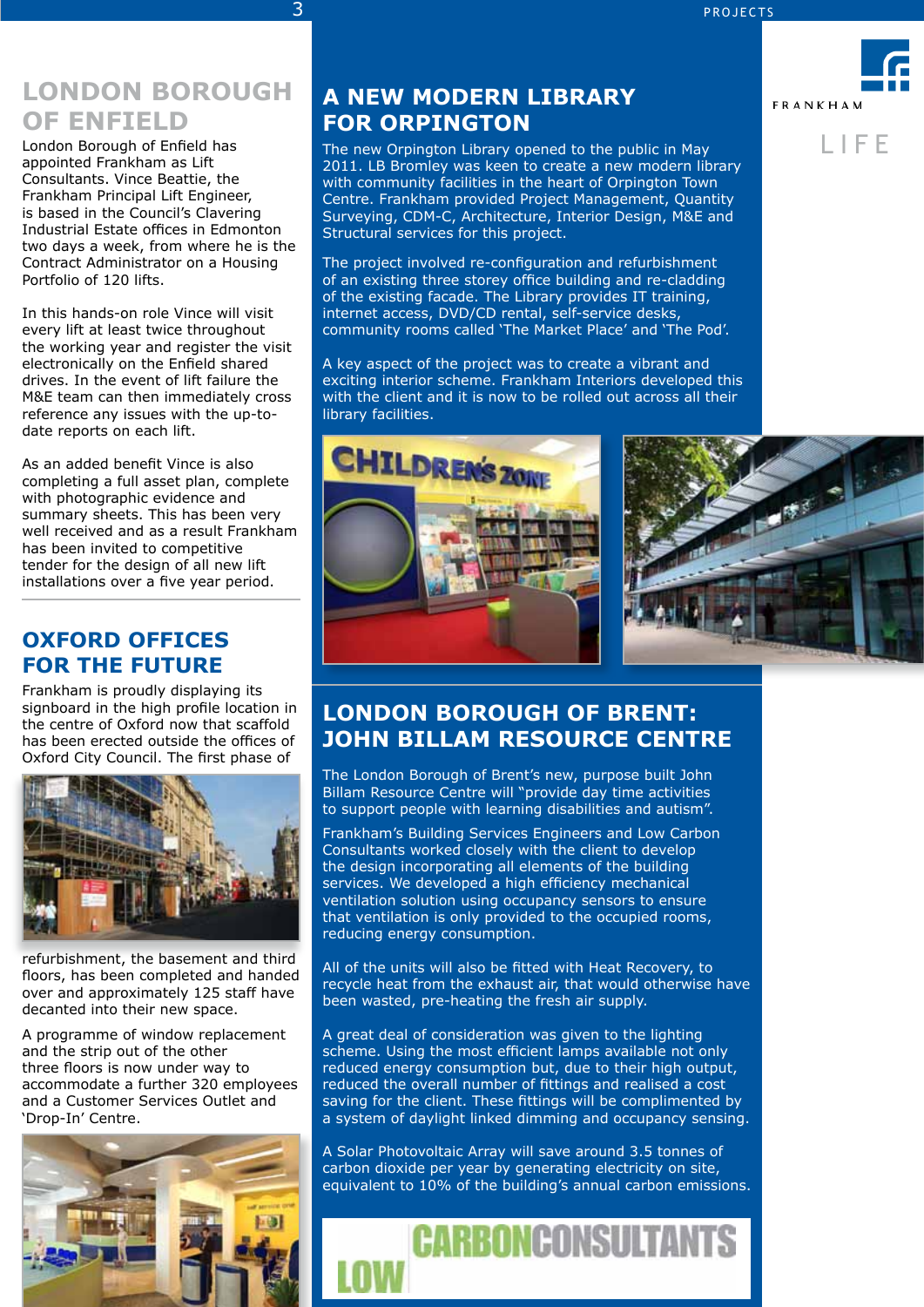### $3$  PROJECTS

## **LONDON BOROUGH OF ENFIELD**

London Borough of Enfield has appointed Frankham as Lift Consultants. Vince Beattie, the Frankham Principal Lift Engineer, is based in the Council's Clavering Industrial Estate offices in Edmonton two days a week, from where he is the Contract Administrator on a Housing Portfolio of 120 lifts.

In this hands-on role Vince will visit every lift at least twice throughout the working year and register the visit electronically on the Enfield shared drives. In the event of lift failure the M&E team can then immediately cross reference any issues with the up-todate reports on each lift.

As an added benefit Vince is also completing a full asset plan, complete with photographic evidence and summary sheets. This has been very well received and as a result Frankham has been invited to competitive tender for the design of all new lift installations over a five year period.

## **OXFORD OFFICES FOR THE FUTURE**

Frankham is proudly displaying its signboard in the high profile location in the centre of Oxford now that scaffold has been erected outside the offices of Oxford City Council. The first phase of



refurbishment, the basement and third floors, has been completed and handed over and approximately 125 staff have decanted into their new space.

A programme of window replacement and the strip out of the other three floors is now under way to accommodate a further 320 employees and a Customer Services Outlet and 'Drop-In' Centre.



## **A NEW MODERN LIBRARY FOR ORPINGTON**

The new Orpington Library opened to the public in May 2011. LB Bromley was keen to create a new modern library with community facilities in the heart of Orpington Town Centre. Frankham provided Project Management, Quantity Surveying, CDM-C, Architecture, Interior Design, M&E and Structural services for this project.

The project involved re-configuration and refurbishment of an existing three storey office building and re-cladding of the existing facade. The Library provides IT training, internet access, DVD/CD rental, self-service desks, community rooms called 'The Market Place' and 'The Pod'.

A key aspect of the project was to create a vibrant and exciting interior scheme. Frankham Interiors developed this with the client and it is now to be rolled out across all their library facilities.



## **FRANKHAM** L I F E



## **London borough of BRENT: JOHN BILlAM RESOURCE CENTRE**

The London Borough of Brent's new, purpose built John Billam Resource Centre will "provide day time activities to support people with learning disabilities and autism".

Frankham's Building Services Engineers and Low Carbon Consultants worked closely with the client to develop the design incorporating all elements of the building services. We developed a high efficiency mechanical ventilation solution using occupancy sensors to ensure that ventilation is only provided to the occupied rooms, reducing energy consumption.

All of the units will also be fitted with Heat Recovery, to recycle heat from the exhaust air, that would otherwise have been wasted, pre-heating the fresh air supply.

A great deal of consideration was given to the lighting scheme. Using the most efficient lamps available not only reduced energy consumption but, due to their high output, reduced the overall number of fittings and realised a cost saving for the client. These fittings will be complimented by a system of daylight linked dimming and occupancy sensing.

A Solar Photovoltaic Array will save around 3.5 tonnes of carbon dioxide per year by generating electricity on site, equivalent to 10% of the building's annual carbon emissions.

**CARBONCONSULTANTS**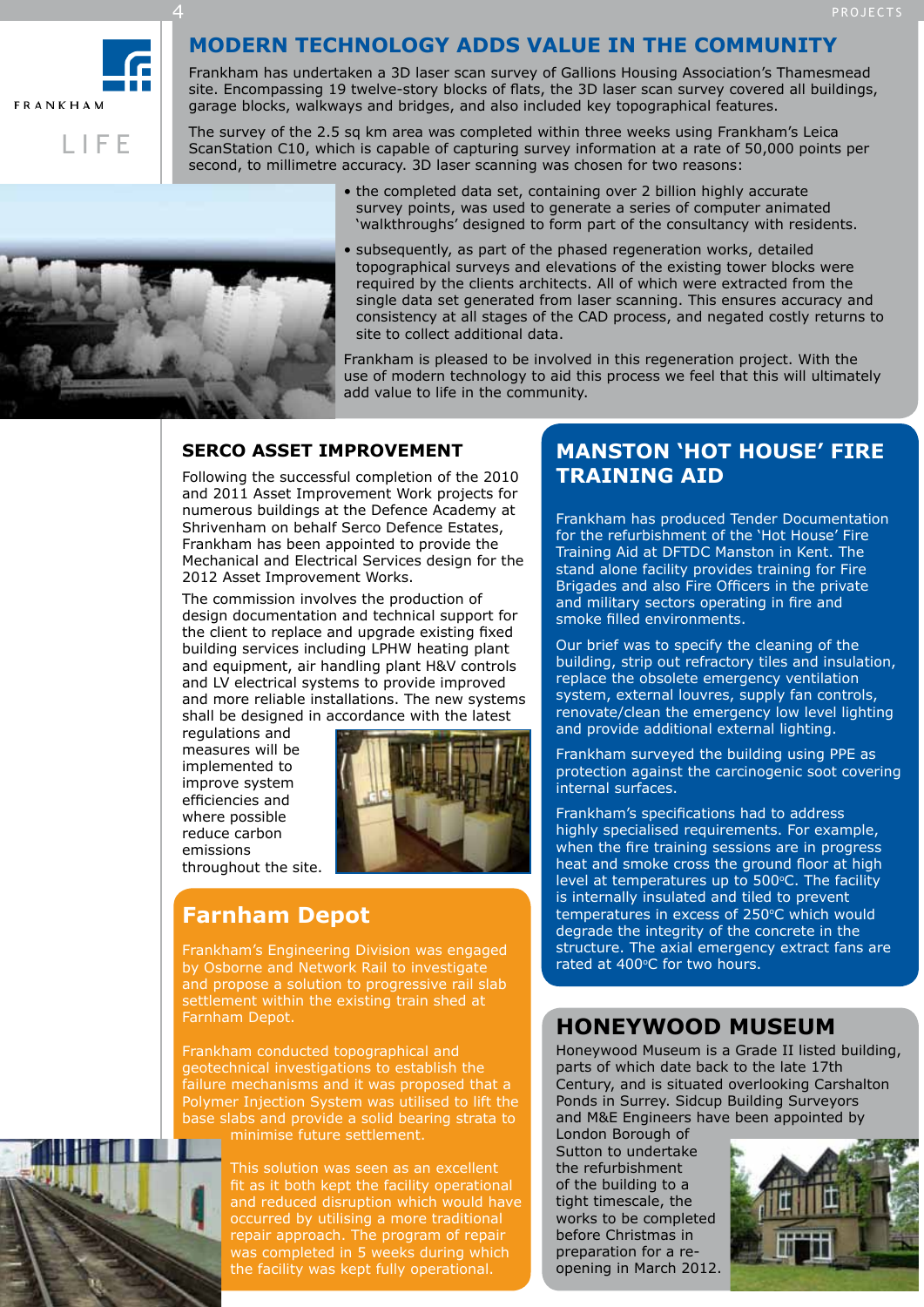

L I F E

### **Modern technology adds value in the community**

Frankham has undertaken a 3D laser scan survey of Gallions Housing Association's Thamesmead site. Encompassing 19 twelve-story blocks of flats, the 3D laser scan survey covered all buildings, garage blocks, walkways and bridges, and also included key topographical features.

The survey of the 2.5 sq km area was completed within three weeks using Frankham's Leica ScanStation C10, which is capable of capturing survey information at a rate of 50,000 points per second, to millimetre accuracy. 3D laser scanning was chosen for two reasons:

> • the completed data set, containing over 2 billion highly accurate survey points, was used to generate a series of computer animated 'walkthroughs' designed to form part of the consultancy with residents.



4

• subsequently, as part of the phased regeneration works, detailed topographical surveys and elevations of the existing tower blocks were required by the clients architects. All of which were extracted from the single data set generated from laser scanning. This ensures accuracy and consistency at all stages of the CAD process, and negated costly returns to site to collect additional data.

Frankham is pleased to be involved in this regeneration project. With the use of modern technology to aid this process we feel that this will ultimately add value to life in the community.

### **SERCO ASSET IMPROVEMENT**

Following the successful completion of the 2010 and 2011 Asset Improvement Work projects for numerous buildings at the Defence Academy at Shrivenham on behalf Serco Defence Estates, Frankham has been appointed to provide the Mechanical and Electrical Services design for the 2012 Asset Improvement Works.

The commission involves the production of design documentation and technical support for the client to replace and upgrade existing fixed building services including LPHW heating plant and equipment, air handling plant H&V controls and LV electrical systems to provide improved and more reliable installations. The new systems shall be designed in accordance with the latest

regulations and measures will be implemented to improve system efficiencies and where possible reduce carbon emissions throughout the site.



## **Farnham Depot**

Frankham's Engineering Division was engaged by Osborne and Network Rail to investigate and propose a solution to progressive rail slab settlement within the existing train shed at Farnham Depot.

Frankham conducted topographical and geotechnical investigations to establish the failure mechanisms and it was proposed that a Polymer Injection System was utilised to lift the base slabs and provide a solid bearing strata to minimise future settlement.



This solution was seen as an excellent fit as it both kept the facility operational and reduced disruption which would have occurred by utilising a more traditional repair approach. The program of repair was completed in 5 weeks during which the facility was kept fully operational.

### **MANSTON 'HOT HOUSE' FIRE TRAINING AID**

Frankham has produced Tender Documentation for the refurbishment of the 'Hot House' Fire Training Aid at DFTDC Manston in Kent. The stand alone facility provides training for Fire Brigades and also Fire Officers in the private and military sectors operating in fire and smoke filled environments.

Our brief was to specify the cleaning of the building, strip out refractory tiles and insulation, replace the obsolete emergency ventilation system, external louvres, supply fan controls, renovate/clean the emergency low level lighting and provide additional external lighting.

Frankham surveyed the building using PPE as protection against the carcinogenic soot covering internal surfaces.

Frankham's specifications had to address highly specialised requirements. For example, when the fire training sessions are in progress heat and smoke cross the ground floor at high level at temperatures up to 500°C. The facility is internally insulated and tiled to prevent temperatures in excess of 250°C which would degrade the integrity of the concrete in the structure. The axial emergency extract fans are rated at 400°C for two hours.

## **HONEYWOOD MUSEUM**

Honeywood Museum is a Grade II listed building, parts of which date back to the late 17th Century, and is situated overlooking Carshalton Ponds in Surrey. Sidcup Building Surveyors and M&E Engineers have been appointed by

London Borough of Sutton to undertake the refurbishment of the building to a tight timescale, the works to be completed before Christmas in preparation for a reopening in March 2012.

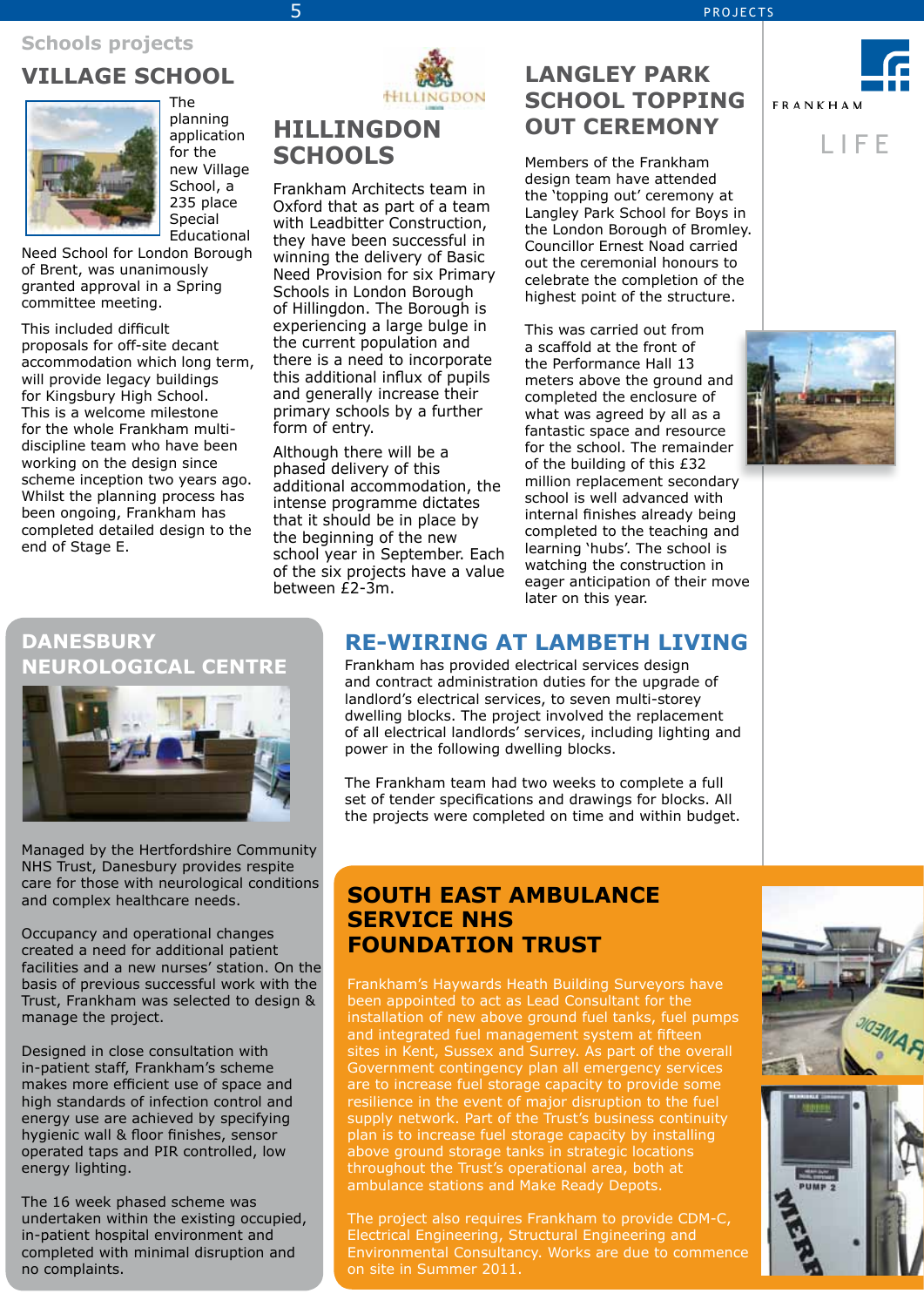### **Schools projects**

## **VILLAGE SCHOOL**



The planning application for the new Village School, a 235 place Special Educational

Need School for London Borough of Brent, was unanimously granted approval in a Spring committee meeting.

This included difficult proposals for off-site decant accommodation which long term, will provide legacy buildings for Kingsbury High School. This is a welcome milestone for the whole Frankham multidiscipline team who have been working on the design since scheme inception two years ago. Whilst the planning process has been ongoing, Frankham has completed detailed design to the end of Stage E.



## **HILLINGDON SCHOOLS**

5 5

Frankham Architects team in Oxford that as part of a team with Leadbitter Construction, they have been successful in winning the delivery of Basic Need Provision for six Primary Schools in London Borough of Hillingdon. The Borough is experiencing a large bulge in the current population and there is a need to incorporate this additional influx of pupils and generally increase their primary schools by a further form of entry.

Although there will be a phased delivery of this additional accommodation, the intense programme dictates that it should be in place by the beginning of the new school year in September. Each of the six projects have a value between  $f2-3m$ .

## **LANGLEY PARK SCHOOL TOPPING OUT CEREMONY**

Members of the Frankham design team have attended the 'topping out' ceremony at Langley Park School for Boys in the London Borough of Bromley. Councillor Ernest Noad carried out the ceremonial honours to celebrate the completion of the highest point of the structure.

This was carried out from a scaffold at the front of the Performance Hall 13 meters above the ground and completed the enclosure of what was agreed by all as a fantastic space and resource for the school. The remainder of the building of this £32 million replacement secondary school is well advanced with internal finishes already being completed to the teaching and learning 'hubs'. The school is watching the construction in eager anticipation of their move later on this year.







### **DANESBURY NEUROLOGICAL CENTRE**



Managed by the Hertfordshire Community NHS Trust, Danesbury provides respite care for those with neurological conditions and complex healthcare needs.

Occupancy and operational changes created a need for additional patient facilities and a new nurses' station. On the basis of previous successful work with the Trust, Frankham was selected to design & manage the project.

Designed in close consultation with in-patient staff, Frankham's scheme makes more efficient use of space and high standards of infection control and energy use are achieved by specifying hygienic wall & floor finishes, sensor operated taps and PIR controlled, low energy lighting.

The 16 week phased scheme was undertaken within the existing occupied, in-patient hospital environment and completed with minimal disruption and no complaints.

## **RE-WIRING at LAMBETH LIVING**

Frankham has provided electrical services design and contract administration duties for the upgrade of landlord's electrical services, to seven multi-storey dwelling blocks. The project involved the replacement of all electrical landlords' services, including lighting and power in the following dwelling blocks.

The Frankham team had two weeks to complete a full set of tender specifications and drawings for blocks. All the projects were completed on time and within budget.

### **SOUTH EAST AMBULANCE SERVICE NHS FOUNDATION TRUST**

Frankham's Haywards Heath Building Surveyors have been appointed to act as Lead Consultant for the installation of new above ground fuel tanks, fuel pumps and integrated fuel management system at fifteen sites in Kent, Sussex and Surrey. As part of the overall Government contingency plan all emergency services are to increase fuel storage capacity to provide some resilience in the event of major disruption to the fuel supply network. Part of the Trust's business continuity plan is to increase fuel storage capacity by installing above ground storage tanks in strategic locations throughout the Trust's operational area, both at ambulance stations and Make Ready Depots.

The project also requires Frankham to provide CDM-C, Electrical Engineering, Structural Engineering and Environmental Consultancy. Works are due to commence on site in Summer 2011.



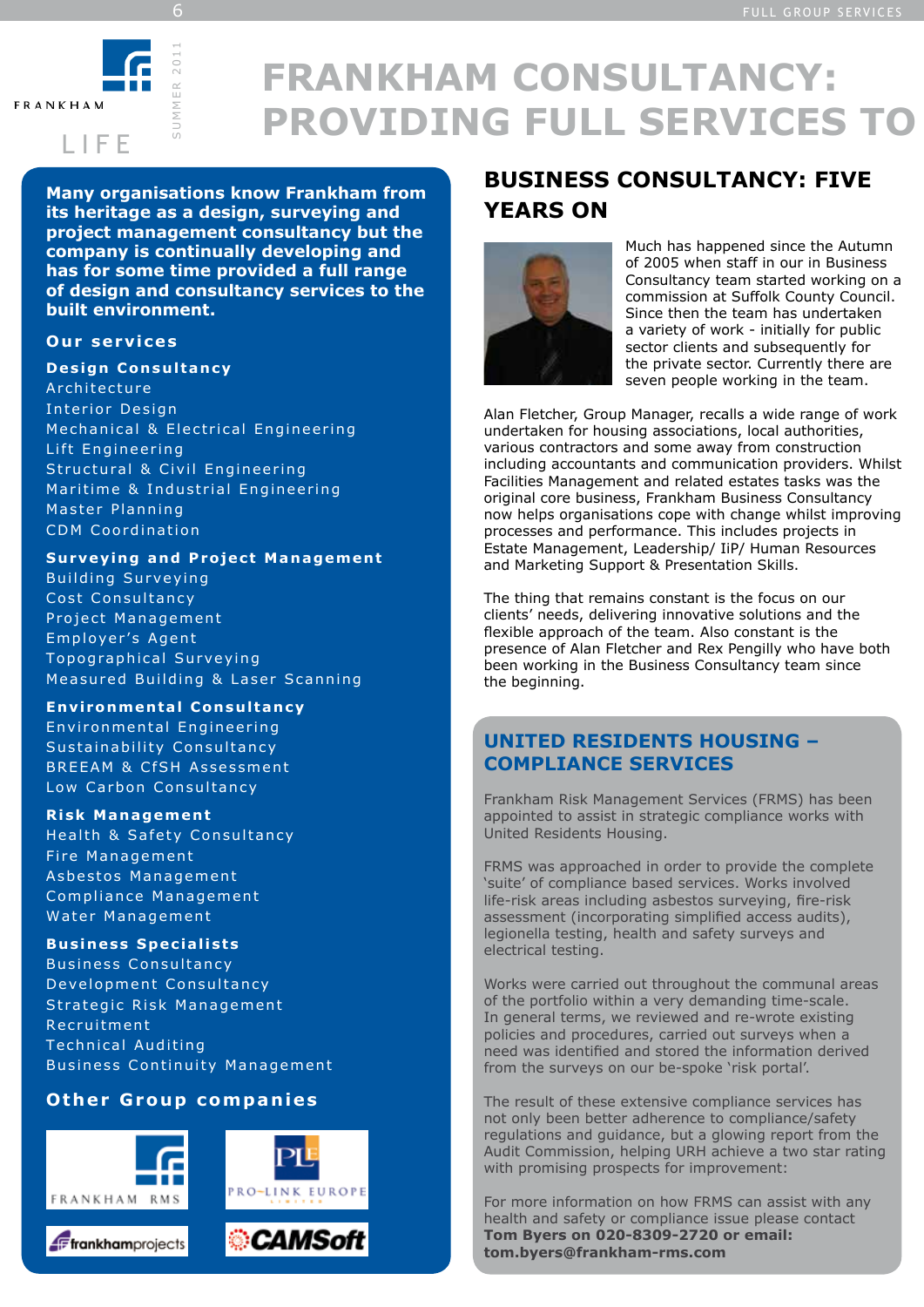

S U M M E R 2 0 1 1

6

# **FRANKHAM CONSULTANCY: PROVIDING FULL SERVICES TO**

**Many organisations know Frankham from its heritage as a design, surveying and project management consultancy but the company is continually developing and has for some time provided a full range of design and consultancy services to the built environment.**

### **Our services**

**Design Consultancy** 

Architecture Interior Design Mechanical & Electrical Engineering Lift Engineering Structural & Civil Engineering Maritime & Industrial Engineering Master Planning CDM Coordination

### **Surveying and Project Management**

Building Surveying Cost Consultancy Project Management Employer's Agent Topographical Surveving Measured Building & Laser Scanning

**En v i ro nme n ta l Co n s u l ta n cy** Environmental Engineering Sustainability Consultancy BREEAM & CfSH Assessment Low Carbon Consultancy

### **Risk Management**

Health & Safety Consultancy Fire Management Asbestos Management Compliance Management Water Management

### **Business Specialists**

Business Consultancy Development Consultancy Strategic Risk Management Recruitment Technical Auditing Business Continuity Management

### **Other Group companies**







PRO-LINK EUROPE



## **BUSINESS CONSULTANCY: FIVE YEARS ON**



Much has happened since the Autumn of 2005 when staff in our in Business Consultancy team started working on a commission at Suffolk County Council. Since then the team has undertaken a variety of work - initially for public sector clients and subsequently for the private sector. Currently there are seven people working in the team.

Alan Fletcher, Group Manager, recalls a wide range of work undertaken for housing associations, local authorities, various contractors and some away from construction including accountants and communication providers. Whilst Facilities Management and related estates tasks was the original core business, Frankham Business Consultancy now helps organisations cope with change whilst improving processes and performance. This includes projects in Estate Management, Leadership/ IiP/ Human Resources and Marketing Support & Presentation Skills.

The thing that remains constant is the focus on our clients' needs, delivering innovative solutions and the flexible approach of the team. Also constant is the presence of Alan Fletcher and Rex Pengilly who have both been working in the Business Consultancy team since the beginning.

### **UNITED RESIDENTS HOUSING – COMPLIANCE SERVICES**

Frankham Risk Management Services (FRMS) has been appointed to assist in strategic compliance works with United Residents Housing.

FRMS was approached in order to provide the complete 'suite' of compliance based services. Works involved life-risk areas including asbestos surveying, fire-risk assessment (incorporating simplified access audits), legionella testing, health and safety surveys and electrical testing.

Works were carried out throughout the communal areas of the portfolio within a very demanding time-scale. In general terms, we reviewed and re-wrote existing policies and procedures, carried out surveys when a need was identified and stored the information derived from the surveys on our be-spoke 'risk portal'.

The result of these extensive compliance services has not only been better adherence to compliance/safety regulations and guidance, but a glowing report from the Audit Commission, helping URH achieve a two star rating with promising prospects for improvement:

For more information on how FRMS can assist with any health and safety or compliance issue please contact **Tom Byers on 020-8309-2720 or email: tom.byers@frankham-rms.com**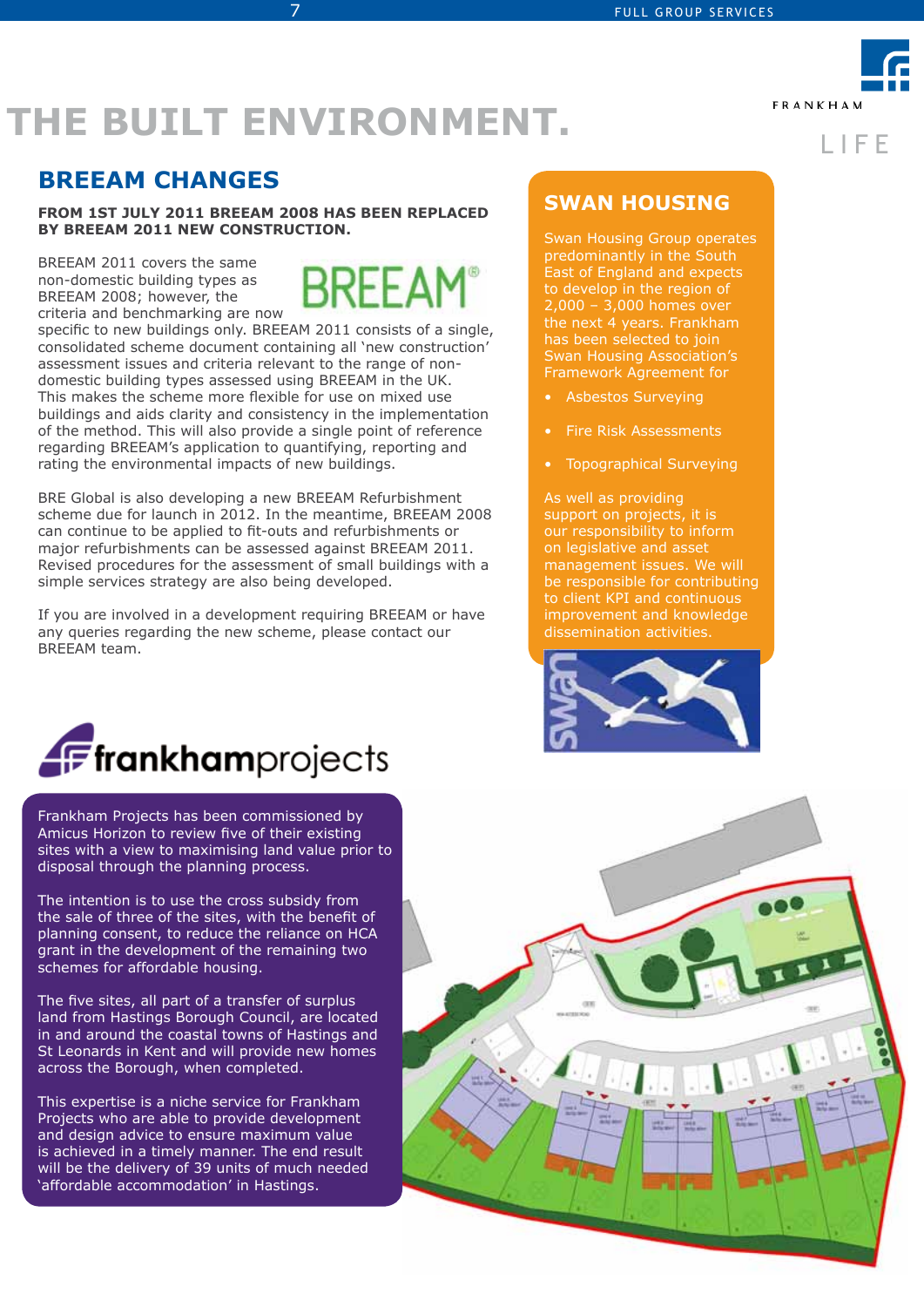L I F E

**FRANKHAM** 

# **THE BUILT ENVIRONMENT.**

7

## **breeam changes**

**From 1st July 2011 BREEAM 2008 has been replaced by BREEAM 2011 New Construction.**

BREEAM 2011 covers the same non-domestic building types as BREEAM 2008; however, the criteria and benchmarking are now



specific to new buildings only. BREEAM 2011 consists of a single, consolidated scheme document containing all 'new construction' assessment issues and criteria relevant to the range of nondomestic building types assessed using BREEAM in the UK. This makes the scheme more flexible for use on mixed use buildings and aids clarity and consistency in the implementation of the method. This will also provide a single point of reference regarding BREEAM's application to quantifying, reporting and rating the environmental impacts of new buildings.

BRE Global is also developing a new BREEAM Refurbishment scheme due for launch in 2012. In the meantime, BREEAM 2008 can continue to be applied to fit-outs and refurbishments or major refurbishments can be assessed against BREEAM 2011. Revised procedures for the assessment of small buildings with a simple services strategy are also being developed.

If you are involved in a development requiring BREEAM or have any queries regarding the new scheme, please contact our BREEAM team.



Frankham Projects has been commissioned by Amicus Horizon to review five of their existing sites with a view to maximising land value prior to disposal through the planning process.

The intention is to use the cross subsidy from the sale of three of the sites, with the benefit of planning consent, to reduce the reliance on HCA grant in the development of the remaining two schemes for affordable housing.

The five sites, all part of a transfer of surplus land from Hastings Borough Council, are located in and around the coastal towns of Hastings and St Leonards in Kent and will provide new homes across the Borough, when completed.

This expertise is a niche service for Frankham Projects who are able to provide development and design advice to ensure maximum value is achieved in a timely manner. The end result will be the delivery of 39 units of much needed 'affordable accommodation' in Hastings.

### **swan housing**

Swan Housing Group operates predominantly in the South East of England and expects to develop in the region of 2,000 – 3,000 homes over the next 4 years. Frankham has been selected to join Swan Housing Association's Framework Agreement for

- Asbestos Surveying
- Fire Risk Assessments
- Topographical Surveying

As well as providing support on projects, it is our responsibility to inform on legislative and asset management issues. We will be responsible for contributing to client KPI and continuous improvement and knowledge dissemination activities.



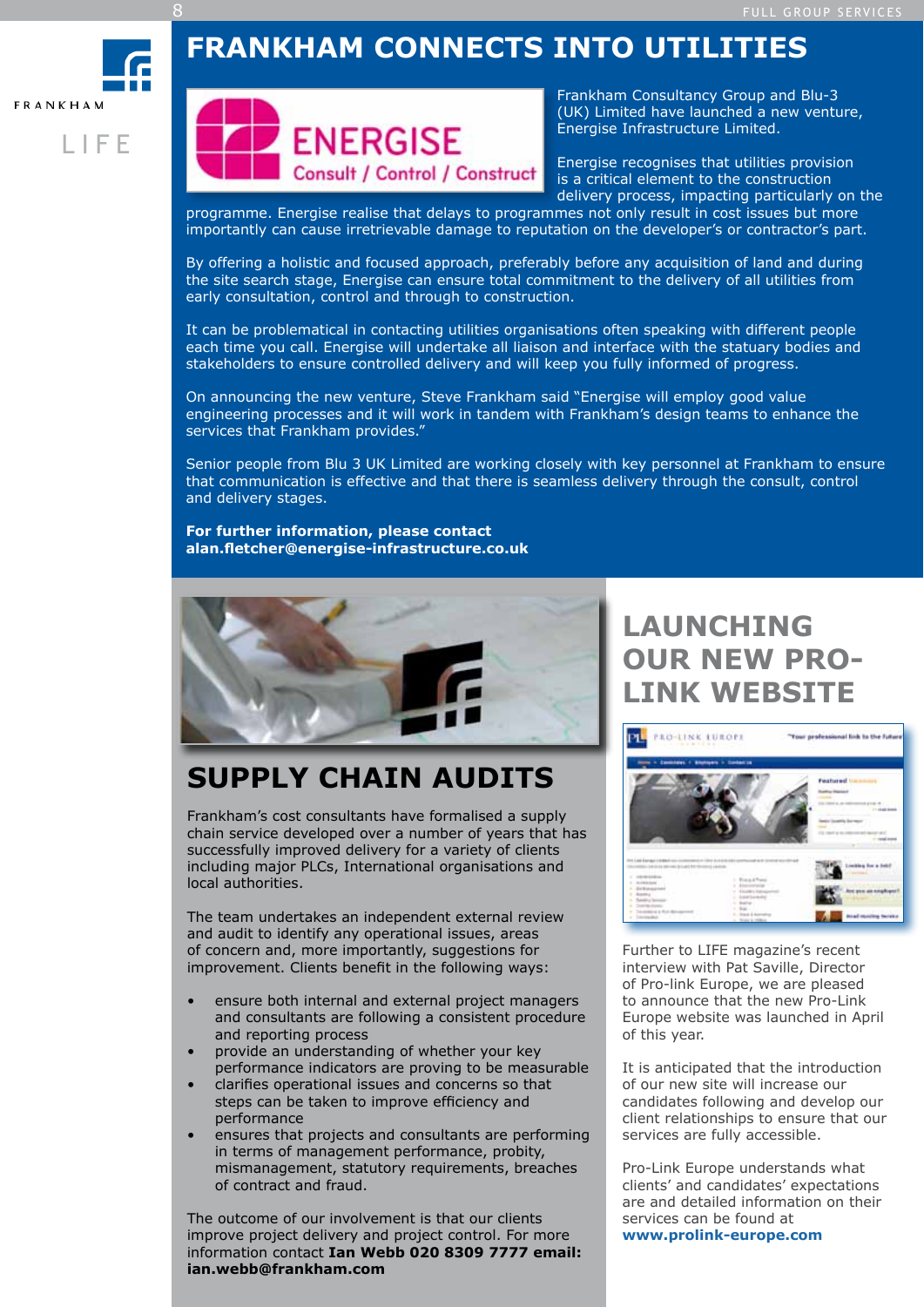## **FRANKHAM CONNECTS INTO UTILITIES**

**FRANKHAM** 

L I F E

8



Frankham Consultancy Group and Blu-3 (UK) Limited have launched a new venture, Energise Infrastructure Limited.

Energise recognises that utilities provision is a critical element to the construction delivery process, impacting particularly on the

programme. Energise realise that delays to programmes not only result in cost issues but more importantly can cause irretrievable damage to reputation on the developer's or contractor's part.

By offering a holistic and focused approach, preferably before any acquisition of land and during the site search stage, Energise can ensure total commitment to the delivery of all utilities from early consultation, control and through to construction.

It can be problematical in contacting utilities organisations often speaking with different people each time you call. Energise will undertake all liaison and interface with the statuary bodies and stakeholders to ensure controlled delivery and will keep you fully informed of progress.

On announcing the new venture, Steve Frankham said "Energise will employ good value engineering processes and it will work in tandem with Frankham's design teams to enhance the services that Frankham provides."

Senior people from Blu 3 UK Limited are working closely with key personnel at Frankham to ensure that communication is effective and that there is seamless delivery through the consult, control and delivery stages.

**For further information, please contact alan.fletcher@energise-infrastructure.co.uk**



## **SUpply chain audits**

Frankham's cost consultants have formalised a supply chain service developed over a number of years that has successfully improved delivery for a variety of clients including major PLCs, International organisations and local authorities.

The team undertakes an independent external review and audit to identify any operational issues, areas of concern and, more importantly, suggestions for improvement. Clients benefit in the following ways:

- ensure both internal and external project managers and consultants are following a consistent procedure and reporting process
- provide an understanding of whether your key performance indicators are proving to be measurable
- clarifies operational issues and concerns so that steps can be taken to improve efficiency and performance
- ensures that projects and consultants are performing in terms of management performance, probity, mismanagement, statutory requirements, breaches of contract and fraud.

The outcome of our involvement is that our clients improve project delivery and project control. For more information contact **Ian Webb 020 8309 7777 email: ian.webb@frankham.com**

## **LAUNCHING OUR NEW PRO-LINK WEBSITE**



Further to LIFE magazine's recent interview with Pat Saville, Director of Pro-link Europe, we are pleased to announce that the new Pro-Link Europe website was launched in April of this year.

It is anticipated that the introduction of our new site will increase our candidates following and develop our client relationships to ensure that our services are fully accessible.

Pro-Link Europe understands what clients' and candidates' expectations are and detailed information on their services can be found at **www.prolink-europe.com**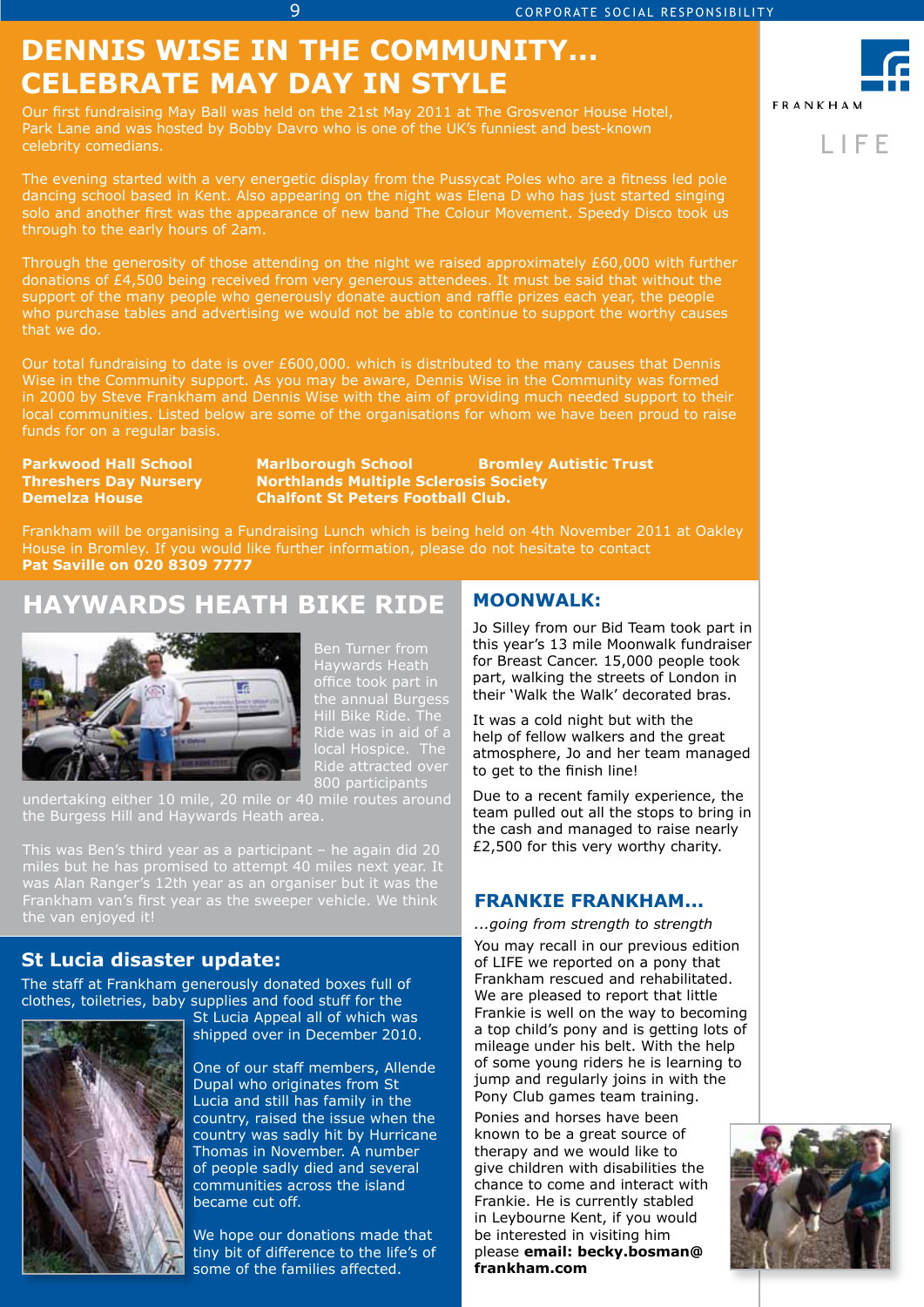## **DENNIS WISE IN THE COMMUNITY... CELEBRATE MAY DAY IN STYLE**

9

Our first fundraising May Ball was held on the 21st May 2011 at The Grosvenor House Hotel, Park Lane and was hosted by Bobby Davro who is one of the UK's funniest and best-known celebrity comedians.

The evening started with a very energetic display from the Pussycat Poles who are a fitness led pole dancing school based in Kent. Also appearing on the night was Elena D who has just started singing solo and another first was the appearance of new band The Colour Movement. Speedy Disco took us through to the early hours of 2am.

Through the generosity of those attending on the night we raised approximately £60,000 with further donations of £4,500 being received from very generous attendees. It must be said that without the support of the many people who generously donate auction and raffle prizes each year, the people who purchase tables and advertising we would not be able to continue to support the worthy causes that we do.

Our total fundraising to date is over £600,000. which is distributed to the many causes that Dennis Wise in the Community support. As you may be aware, Dennis Wise in the Community was formed in 2000 by Steve Frankham and Dennis Wise with the aim of providing much needed support to their local communities. Listed below are some of the organisations for whom we have been proud to raise funds for on a regular basis.

**Parkwood Hall School Marlborough School Bromley Autistic Trust Threshers Day Nursery Northlands Multiple Sclerosis Society Demelza House Chalfont St Peters Football Club.** 

Frankham will be organising a Fundraising Lunch which is being held on 4th November 2011 at Oakley House in Bromley. If you would like further information, please do not hesitate to contact **Pat Saville on 020 8309 7777**

## **HAYWARDS HEATH BIKE RIDE**



Ben Turner from Haywards Heath office took part in the annual Burgess Hill Bike Ride. The Ride was in aid of a local Hospice. The Ride attracted over 800 participants

undertaking either 10 mile, 20 mile or 40 mile routes around the Burgess Hill and Haywards Heath area.

This was Ben's third year as a participant – he again did 20 was Alan Ranger's 12th year as an organiser but it was the Frankham van's first year as the sweeper vehicle. We think the van enjoyed it!

### **St Lucia disaster update:**

The staff at Frankham generously donated boxes full of clothes, toiletries, baby supplies and food stuff for the



St Lucia Appeal all of which was shipped over in December 2010.

One of our staff members, Allende Dupal who originates from St Lucia and still has family in the country, raised the issue when the country was sadly hit by Hurricane Thomas in November. A number of people sadly died and several communities across the island became cut off.

We hope our donations made that tiny bit of difference to the life's of some of the families affected.

### **MOONWALK:**

Jo Silley from our Bid Team took part in this year's 13 mile Moonwalk fundraiser for Breast Cancer. 15,000 people took part, walking the streets of London in their 'Walk the Walk' decorated bras.

It was a cold night but with the help of fellow walkers and the great atmosphere, Jo and her team managed to get to the finish line!

Due to a recent family experience, the team pulled out all the stops to bring in the cash and managed to raise nearly £2,500 for this very worthy charity.

### **Frankie Frankham...**

*...going from strength to strength*

You may recall in our previous edition of LIFE we reported on a pony that Frankham rescued and rehabilitated. We are pleased to report that little Frankie is well on the way to becoming a top child's pony and is getting lots of mileage under his belt. With the help of some young riders he is learning to jump and regularly joins in with the Pony Club games team training.

Ponies and horses have been known to be a great source of therapy and we would like to give children with disabilities the chance to come and interact with Frankie. He is currently stabled in Leybourne Kent, if you would be interested in visiting him please **email: becky.bosman@ frankham.com**





L I F E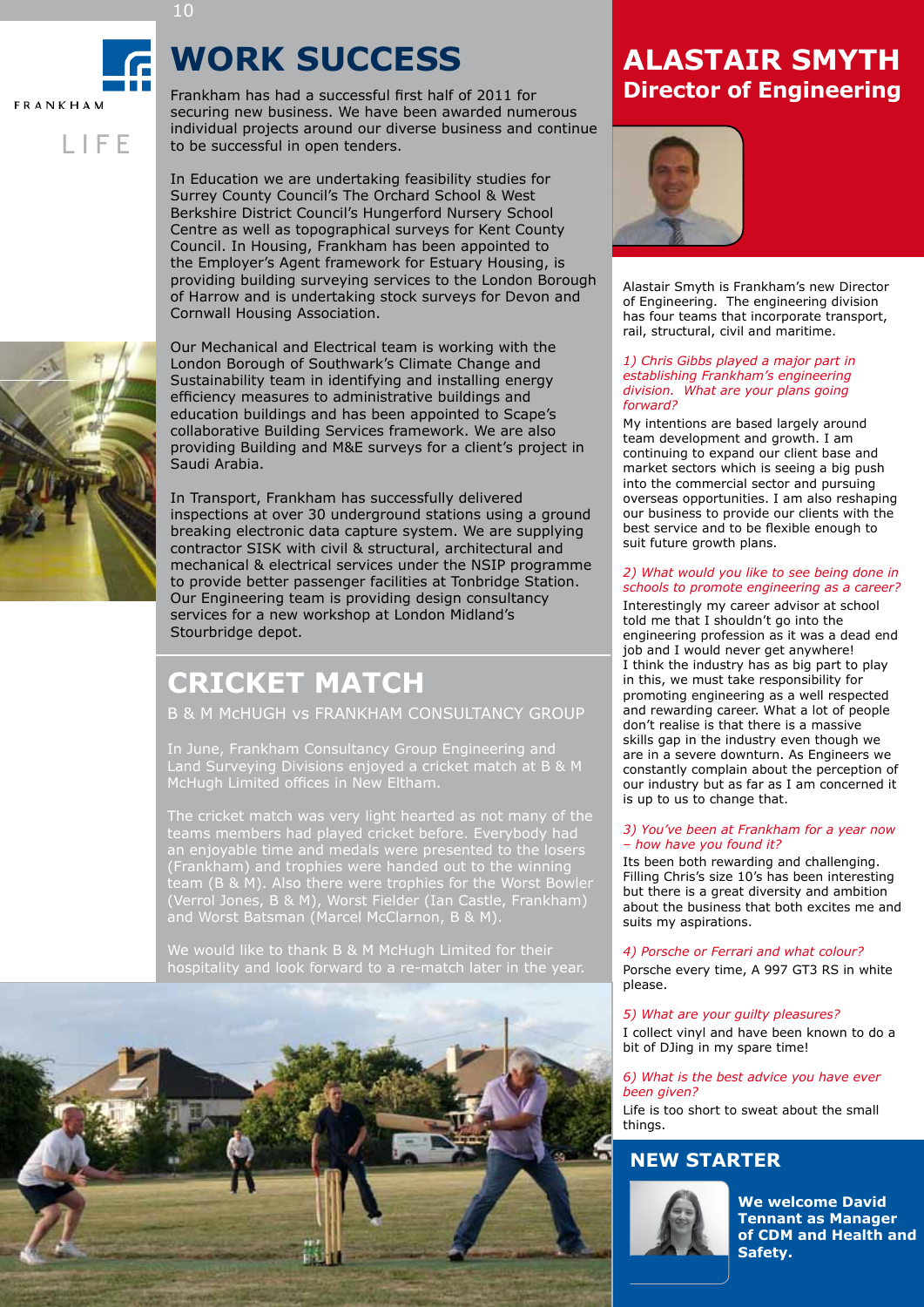## **WORK SUCCESS**

 $\sum_{\substack{F_1 \text{st}}}$ Frankham has had a successful first half of 2011 for securing new business. We have been awarded numerous individual projects around our diverse business and continue to be successful in open tenders.

In Education we are undertaking feasibility studies for Surrey County Council's The Orchard School & West Berkshire District Council's Hungerford Nursery School Centre as well as topographical surveys for Kent County Council. In Housing, Frankham has been appointed to the Employer's Agent framework for Estuary Housing, is providing building surveying services to the London Borough of Harrow and is undertaking stock surveys for Devon and Cornwall Housing Association.

Our Mechanical and Electrical team is working with the London Borough of Southwark's Climate Change and Sustainability team in identifying and installing energy efficiency measures to administrative buildings and education buildings and has been appointed to Scape's collaborative Building Services framework. We are also providing Building and M&E surveys for a client's project in Saudi Arabia.

In Transport, Frankham has successfully delivered inspections at over 30 underground stations using a ground breaking electronic data capture system. We are supplying contractor SISK with civil & structural, architectural and mechanical & electrical services under the NSIP programme to provide better passenger facilities at Tonbridge Station. Our Engineering team is providing design consultancy services for a new workshop at London Midland's Stourbridge depot.

## **CRICKET MATCH**

B & M Mchugh vs Frankham CONSULTANCY GROUP

In June, Frankham Consultancy Group Engineering and Land Surveying Divisions enjoyed a cricket match at B & M McHugh Limited offices in New Eltham.

The cricket match was very light hearted as not many of the teams members had played cricket before. Everybody had an enjoyable time and medals were presented to the losers (Frankham) and trophies were handed out to the winning team (B & M). Also there were trophies for the Worst Bowler (Verrol Jones, B & M), Worst Fielder (Ian Castle, Frankham) and Worst Batsman (Marcel McClarnon, B & M).

We would like to thank B & M McHugh Limited for their



## **Alastair Smyth Director of Engineering**



Alastair Smyth is Frankham's new Director of Engineering. The engineering division has four teams that incorporate transport, rail, structural, civil and maritime.

#### *1) Chris Gibbs played a major part in establishing Frankham's engineering division. What are your plans going forward?*

My intentions are based largely around team development and growth. I am continuing to expand our client base and market sectors which is seeing a big push into the commercial sector and pursuing overseas opportunities. I am also reshaping our business to provide our clients with the best service and to be flexible enough to suit future growth plans.

#### *2) What would you like to see being done in schools to promote engineering as a career?*

Interestingly my career advisor at school told me that I shouldn't go into the engineering profession as it was a dead end job and I would never get anywhere! I think the industry has as big part to play in this, we must take responsibility for promoting engineering as a well respected and rewarding career. What a lot of people don't realise is that there is a massive skills gap in the industry even though we are in a severe downturn. As Engineers we constantly complain about the perception of our industry but as far as I am concerned it is up to us to change that.

### *3) You've been at Frankham for a year now – how have you found it?*

Its been both rewarding and challenging. Filling Chris's size 10's has been interesting but there is a great diversity and ambition about the business that both excites me and suits my aspirations.

*4) Porsche or Ferrari and what colour?* Porsche every time, A 997 GT3 RS in white please.

### *5) What are your guilty pleasures?*

I collect vinyl and have been known to do a bit of DJing in my spare time!

### *6) What is the best advice you have ever been given?*

Life is too short to sweat about the small things.

### **New starter**



**We welcome David Tennant as Manager of CDM and Health and Safety.**



L I F E

**FRANKHAM** 

10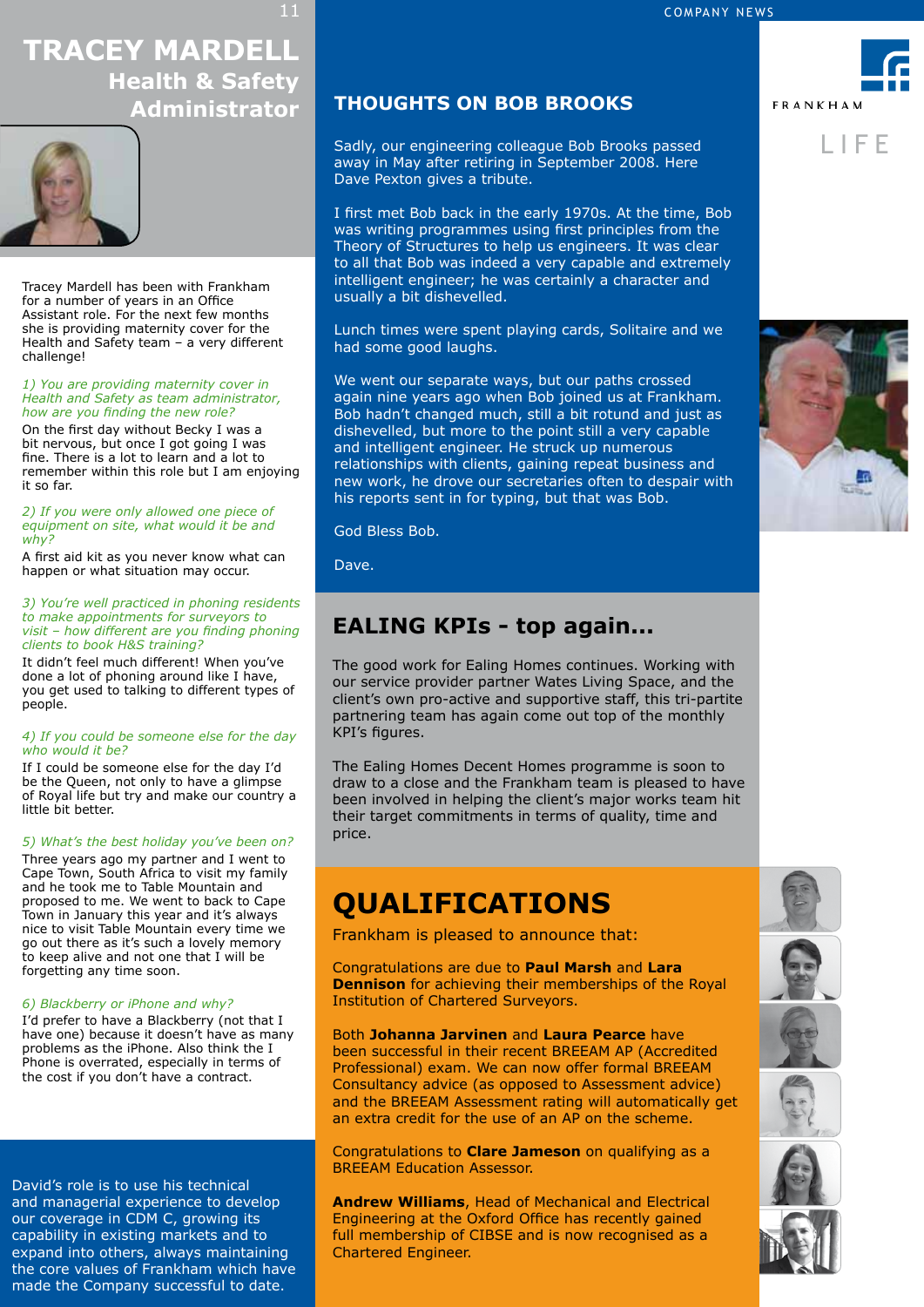-<br>/<br>r **Tracey Mardell Health & Safety** 



Tracey Mardell has been with Frankham for a number of years in an Office Assistant role. For the next few months she is providing maternity cover for the Health and Safety team – a very different challenge!

#### *1) You are providing maternity cover in Health and Safety as team administrator, how are you finding the new role?*

On the first day without Becky I was a bit nervous, but once I got going I was fine. There is a lot to learn and a lot to remember within this role but I am enjoying it so far.

*2) If you were only allowed one piece of equipment on site, what would it be and why?*

A first aid kit as you never know what can happen or what situation may occur.

#### *3) You're well practiced in phoning residents to make appointments for surveyors to visit – how different are you finding phoning clients to book H&S training?*

It didn't feel much different! When you've done a lot of phoning around like I have, you get used to talking to different types of people.

#### *4) If you could be someone else for the day who would it be?*

If I could be someone else for the day I'd be the Queen, not only to have a glimpse of Royal life but try and make our country a little bit better.

#### *5) What's the best holiday you've been on?*

Three years ago my partner and I went to Cape Town, South Africa to visit my family and he took me to Table Mountain and proposed to me. We went to back to Cape Town in January this year and it's always nice to visit Table Mountain every time we go out there as it's such a lovely memory to keep alive and not one that  $I$  will be forgetting any time soon.

#### *6) Blackberry or iPhone and why?*

I'd prefer to have a Blackberry (not that I have one) because it doesn't have as many problems as the iPhone. Also think the I Phone is overrated, especially in terms of the cost if you don't have a contract.

David's role is to use his technical and managerial experience to develop our coverage in CDM C, growing its capability in existing markets and to expand into others, always maintaining the core values of Frankham which have made the Company successful to date.

## **Administrator THOUGHTS ON BOB BROOKS**

Sadly, our engineering colleague Bob Brooks passed away in May after retiring in September 2008. Here Dave Pexton gives a tribute.

I first met Bob back in the early 1970s. At the time, Bob was writing programmes using first principles from the Theory of Structures to help us engineers. It was clear to all that Bob was indeed a very capable and extremely intelligent engineer; he was certainly a character and usually a bit dishevelled.

Lunch times were spent playing cards, Solitaire and we had some good laughs.

We went our separate ways, but our paths crossed again nine years ago when Bob joined us at Frankham. Bob hadn't changed much, still a bit rotund and just as dishevelled, but more to the point still a very capable and intelligent engineer. He struck up numerous relationships with clients, gaining repeat business and new work, he drove our secretaries often to despair with his reports sent in for typing, but that was Bob.

God Bless Bob.

Dave.

## **EALING KPIs - top again...**

The good work for Ealing Homes continues. Working with our service provider partner Wates Living Space, and the client's own pro-active and supportive staff, this tri-partite partnering team has again come out top of the monthly KPI's figures.

The Ealing Homes Decent Homes programme is soon to draw to a close and the Frankham team is pleased to have been involved in helping the client's major works team hit their target commitments in terms of quality, time and price.

## **QUALIFICATIONS**

Frankham is pleased to announce that:

Congratulations are due to **Paul Marsh** and **Lara Dennison** for achieving their memberships of the Royal Institution of Chartered Surveyors.

Both **Johanna Jarvinen** and **Laura Pearce** have been successful in their recent BREEAM AP (Accredited Professional) exam. We can now offer formal BREEAM Consultancy advice (as opposed to Assessment advice) and the BREEAM Assessment rating will automatically get an extra credit for the use of an AP on the scheme.

Congratulations to **Clare Jameson** on qualifying as a **BREEAM Education Assessor.** 

**Andrew Williams**, Head of Mechanical and Electrical Engineering at the Oxford Office has recently gained full membership of CIBSE and is now recognised as a Chartered Engineer.